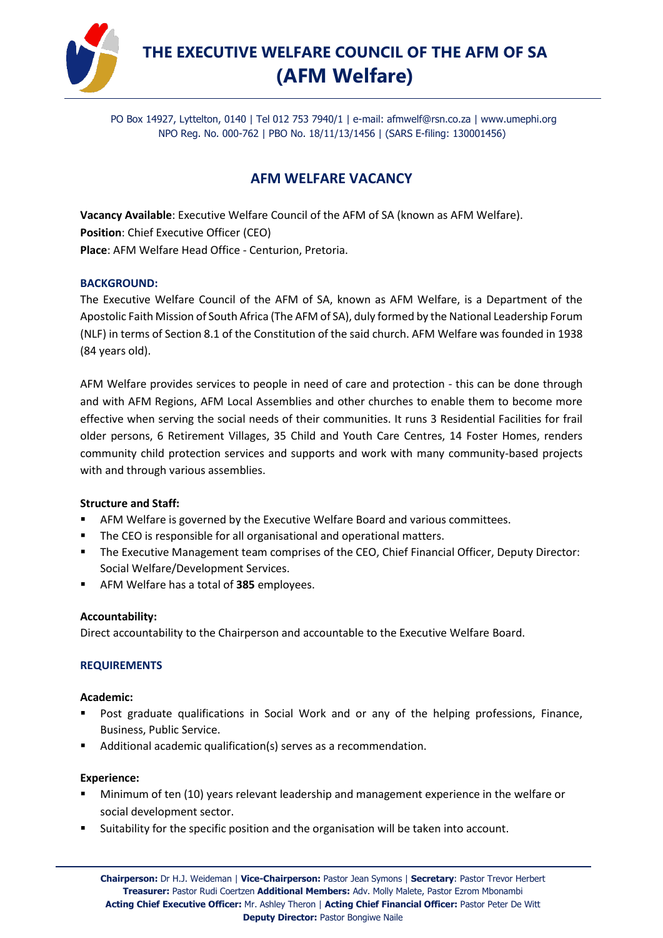

# **THE EXECUTIVE WELFARE COUNCIL OF THE AFM OF SA (AFM Welfare)**

PO Box 14927, Lyttelton, 0140 | Tel 012 753 7940/1 | e-mail: [afmwelf@rsn.co.za](mailto:afmwelf@rsn.co.za) | www.umephi.org NPO Reg. No. 000-762 | PBO No. 18/11/13/1456 | (SARS E-filing: 130001456)

# **AFM WELFARE VACANCY**

**Vacancy Available**: Executive Welfare Council of the AFM of SA (known as AFM Welfare). **Position**: Chief Executive Officer (CEO) **Place**: AFM Welfare Head Office - Centurion, Pretoria.

#### **BACKGROUND:**

The Executive Welfare Council of the AFM of SA, known as AFM Welfare, is a Department of the Apostolic Faith Mission of South Africa (The AFM of SA), duly formed by the National Leadership Forum (NLF) in terms of Section 8.1 of the Constitution of the said church. AFM Welfare was founded in 1938 (84 years old).

AFM Welfare provides services to people in need of care and protection - this can be done through and with AFM Regions, AFM Local Assemblies and other churches to enable them to become more effective when serving the social needs of their communities. It runs 3 Residential Facilities for frail older persons, 6 Retirement Villages, 35 Child and Youth Care Centres, 14 Foster Homes, renders community child protection services and supports and work with many community-based projects with and through various assemblies.

# **Structure and Staff:**

- AFM Welfare is governed by the Executive Welfare Board and various committees.
- The CEO is responsible for all organisational and operational matters.
- **The Executive Management team comprises of the CEO, Chief Financial Officer, Deputy Director:** Social Welfare/Development Services.
- AFM Welfare has a total of 385 employees.

# **Accountability:**

Direct accountability to the Chairperson and accountable to the Executive Welfare Board.

# **REQUIREMENTS**

#### **Academic:**

- Post graduate qualifications in Social Work and or any of the helping professions, Finance, Business, Public Service.
- Additional academic qualification(s) serves as a recommendation.

#### **Experience:**

- Minimum of ten (10) years relevant leadership and management experience in the welfare or social development sector.
- **E** Suitability for the specific position and the organisation will be taken into account.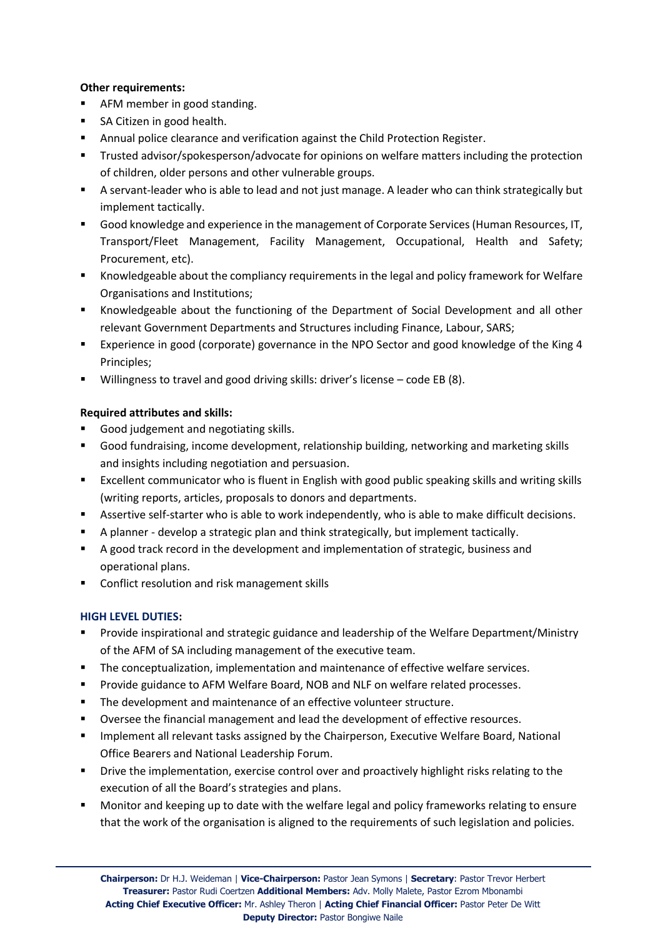# **Other requirements:**

- AFM member in good standing.
- SA Citizen in good health.
- **■** Annual police clearance and verification against the Child Protection Register.
- Trusted advisor/spokesperson/advocate for opinions on welfare matters including the protection of children, older persons and other vulnerable groups.
- A servant-leader who is able to lead and not just manage. A leader who can think strategically but implement tactically.
- Good knowledge and experience in the management of Corporate Services (Human Resources, IT, Transport/Fleet Management, Facility Management, Occupational, Health and Safety; Procurement, etc).
- Knowledgeable about the compliancy requirements in the legal and policy framework for Welfare Organisations and Institutions;
- Knowledgeable about the functioning of the Department of Social Development and all other relevant Government Departments and Structures including Finance, Labour, SARS;
- Experience in good (corporate) governance in the NPO Sector and good knowledge of the King 4 Principles;
- Willingness to travel and good driving skills: driver's license code EB (8).

# **Required attributes and skills:**

- Good judgement and negotiating skills.
- Good fundraising, income development, relationship building, networking and marketing skills and insights including negotiation and persuasion.
- Excellent communicator who is fluent in English with good public speaking skills and writing skills (writing reports, articles, proposals to donors and departments.
- **EXECT** Assertive self-starter who is able to work independently, who is able to make difficult decisions.
- A planner develop a strategic plan and think strategically, but implement tactically.
- A good track record in the development and implementation of strategic, business and operational plans.
- Conflict resolution and risk management skills

# **HIGH LEVEL DUTIES:**

- Provide inspirational and strategic guidance and leadership of the Welfare Department/Ministry of the AFM of SA including management of the executive team.
- **•** The conceptualization, implementation and maintenance of effective welfare services.
- Provide guidance to AFM Welfare Board, NOB and NLF on welfare related processes.
- The development and maintenance of an effective volunteer structure.
- Oversee the financial management and lead the development of effective resources.
- Implement all relevant tasks assigned by the Chairperson, Executive Welfare Board, National Office Bearers and National Leadership Forum.
- **EXP** Drive the implementation, exercise control over and proactively highlight risks relating to the execution of all the Board's strategies and plans.
- Monitor and keeping up to date with the welfare legal and policy frameworks relating to ensure that the work of the organisation is aligned to the requirements of such legislation and policies.